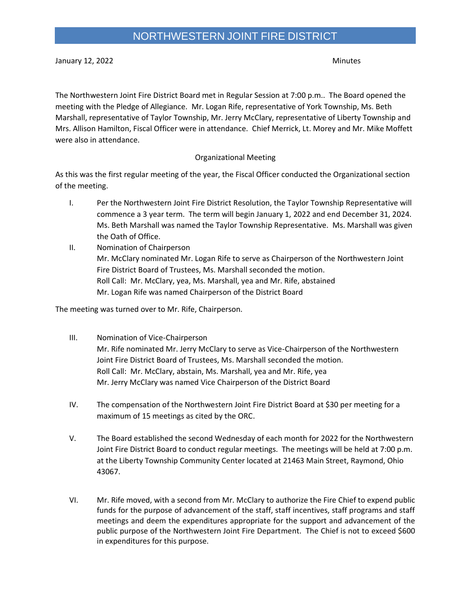January 12, 2022 Minutes

The Northwestern Joint Fire District Board met in Regular Session at 7:00 p.m.. The Board opened the meeting with the Pledge of Allegiance. Mr. Logan Rife, representative of York Township, Ms. Beth Marshall, representative of Taylor Township, Mr. Jerry McClary, representative of Liberty Township and Mrs. Allison Hamilton, Fiscal Officer were in attendance. Chief Merrick, Lt. Morey and Mr. Mike Moffett were also in attendance.

## Organizational Meeting

As this was the first regular meeting of the year, the Fiscal Officer conducted the Organizational section of the meeting.

- I. Per the Northwestern Joint Fire District Resolution, the Taylor Township Representative will commence a 3 year term. The term will begin January 1, 2022 and end December 31, 2024. Ms. Beth Marshall was named the Taylor Township Representative. Ms. Marshall was given the Oath of Office.
- II. Nomination of Chairperson Mr. McClary nominated Mr. Logan Rife to serve as Chairperson of the Northwestern Joint Fire District Board of Trustees, Ms. Marshall seconded the motion. Roll Call: Mr. McClary, yea, Ms. Marshall, yea and Mr. Rife, abstained Mr. Logan Rife was named Chairperson of the District Board

The meeting was turned over to Mr. Rife, Chairperson.

- III. Nomination of Vice-Chairperson Mr. Rife nominated Mr. Jerry McClary to serve as Vice-Chairperson of the Northwestern Joint Fire District Board of Trustees, Ms. Marshall seconded the motion. Roll Call: Mr. McClary, abstain, Ms. Marshall, yea and Mr. Rife, yea Mr. Jerry McClary was named Vice Chairperson of the District Board
- IV. The compensation of the Northwestern Joint Fire District Board at \$30 per meeting for a maximum of 15 meetings as cited by the ORC.
- V. The Board established the second Wednesday of each month for 2022 for the Northwestern Joint Fire District Board to conduct regular meetings. The meetings will be held at 7:00 p.m. at the Liberty Township Community Center located at 21463 Main Street, Raymond, Ohio 43067.
- VI. Mr. Rife moved, with a second from Mr. McClary to authorize the Fire Chief to expend public funds for the purpose of advancement of the staff, staff incentives, staff programs and staff meetings and deem the expenditures appropriate for the support and advancement of the public purpose of the Northwestern Joint Fire Department. The Chief is not to exceed \$600 in expenditures for this purpose.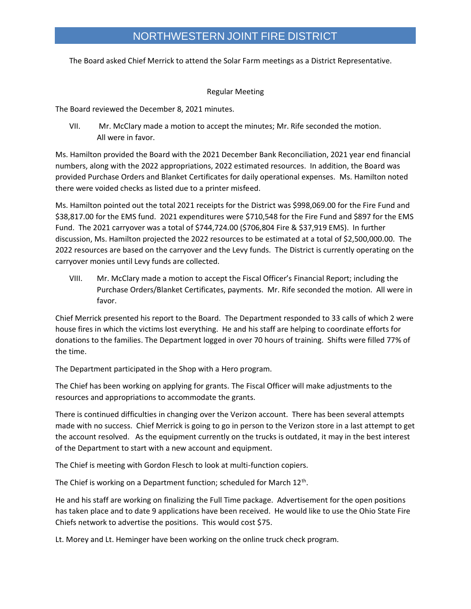## NORTHWESTERN JOINT FIRE DISTRICT

The Board asked Chief Merrick to attend the Solar Farm meetings as a District Representative.

## Regular Meeting

The Board reviewed the December 8, 2021 minutes.

VII. Mr. McClary made a motion to accept the minutes; Mr. Rife seconded the motion. All were in favor.

Ms. Hamilton provided the Board with the 2021 December Bank Reconciliation, 2021 year end financial numbers, along with the 2022 appropriations, 2022 estimated resources. In addition, the Board was provided Purchase Orders and Blanket Certificates for daily operational expenses. Ms. Hamilton noted there were voided checks as listed due to a printer misfeed.

Ms. Hamilton pointed out the total 2021 receipts for the District was \$998,069.00 for the Fire Fund and \$38,817.00 for the EMS fund. 2021 expenditures were \$710,548 for the Fire Fund and \$897 for the EMS Fund. The 2021 carryover was a total of \$744,724.00 (\$706,804 Fire & \$37,919 EMS). In further discussion, Ms. Hamilton projected the 2022 resources to be estimated at a total of \$2,500,000.00. The 2022 resources are based on the carryover and the Levy funds. The District is currently operating on the carryover monies until Levy funds are collected.

VIII. Mr. McClary made a motion to accept the Fiscal Officer's Financial Report; including the Purchase Orders/Blanket Certificates, payments. Mr. Rife seconded the motion. All were in favor.

Chief Merrick presented his report to the Board. The Department responded to 33 calls of which 2 were house fires in which the victims lost everything. He and his staff are helping to coordinate efforts for donations to the families. The Department logged in over 70 hours of training. Shifts were filled 77% of the time.

The Department participated in the Shop with a Hero program.

The Chief has been working on applying for grants. The Fiscal Officer will make adjustments to the resources and appropriations to accommodate the grants.

There is continued difficulties in changing over the Verizon account. There has been several attempts made with no success. Chief Merrick is going to go in person to the Verizon store in a last attempt to get the account resolved. As the equipment currently on the trucks is outdated, it may in the best interest of the Department to start with a new account and equipment.

The Chief is meeting with Gordon Flesch to look at multi-function copiers.

The Chief is working on a Department function; scheduled for March 12<sup>th</sup>.

He and his staff are working on finalizing the Full Time package. Advertisement for the open positions has taken place and to date 9 applications have been received. He would like to use the Ohio State Fire Chiefs network to advertise the positions. This would cost \$75.

Lt. Morey and Lt. Heminger have been working on the online truck check program.